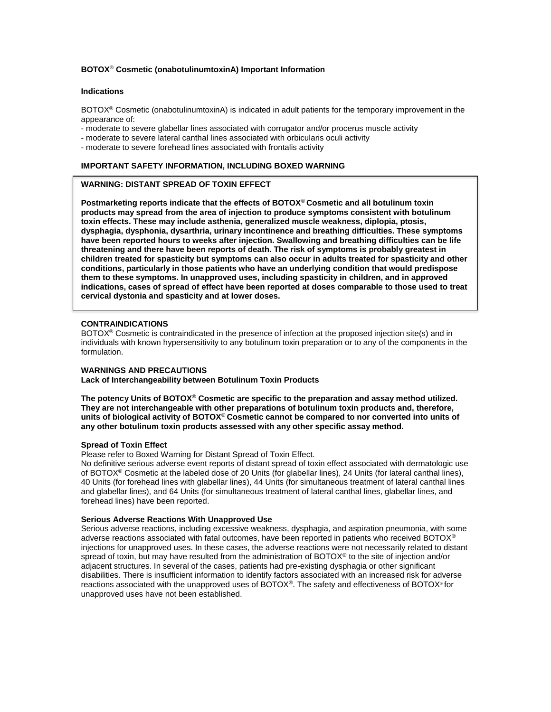## **BOTOX**® **Cosmetic (onabotulinumtoxinA) Important Information**

### **Indications**

BOTOX® Cosmetic (onabotulinumtoxinA) is indicated in adult patients for the temporary improvement in the appearance of:

- moderate to severe glabellar lines associated with corrugator and/or procerus muscle activity
- moderate to severe lateral canthal lines associated with orbicularis oculi activity
- moderate to severe forehead lines associated with frontalis activity

## **IMPORTANT SAFETY INFORMATION, INCLUDING BOXED WARNING**

## **WARNING: DISTANT SPREAD OF TOXIN EFFECT**

**Postmarketing reports indicate that the effects of BOTOX**® **Cosmetic and all botulinum toxin products may spread from the area of injection to produce symptoms consistent with botulinum toxin effects. These may include asthenia, generalized muscle weakness, diplopia, ptosis, dysphagia, dysphonia, dysarthria, urinary incontinence and breathing difficulties. These symptoms have been reported hours to weeks after injection. Swallowing and breathing difficulties can be life threatening and there have been reports of death. The risk of symptoms is probably greatest in children treated for spasticity but symptoms can also occur in adults treated for spasticity and other conditions, particularly in those patients who have an underlying condition that would predispose them to these symptoms. In unapproved uses, including spasticity in children, and in approved indications, cases of spread of effect have been reported at doses comparable to those used to treat cervical dystonia and spasticity and at lower doses.** 

## **CONTRAINDICATIONS**

BOTOX® Cosmetic is contraindicated in the presence of infection at the proposed injection site(s) and in individuals with known hypersensitivity to any botulinum toxin preparation or to any of the components in the formulation.

## **WARNINGS AND PRECAUTIONS**

**Lack of Interchangeability between Botulinum Toxin Products** 

**The potency Units of BOTOX**® **Cosmetic are specific to the preparation and assay method utilized. They are not interchangeable with other preparations of botulinum toxin products and, therefore, units of biological activity of BOTOX**® **Cosmetic cannot be compared to nor converted into units of any other botulinum toxin products assessed with any other specific assay method.** 

# **Spread of Toxin Effect**

Please refer to Boxed Warning for Distant Spread of Toxin Effect.

No definitive serious adverse event reports of distant spread of toxin effect associated with dermatologic use of BOTOX® Cosmetic at the labeled dose of 20 Units (for glabellar lines), 24 Units (for lateral canthal lines), 40 Units (for forehead lines with glabellar lines), 44 Units (for simultaneous treatment of lateral canthal lines and glabellar lines), and 64 Units (for simultaneous treatment of lateral canthal lines, glabellar lines, and forehead lines) have been reported.

#### **Serious Adverse Reactions With Unapproved Use**

Serious adverse reactions, including excessive weakness, dysphagia, and aspiration pneumonia, with some adverse reactions associated with fatal outcomes, have been reported in patients who received BOTOX® injections for unapproved uses. In these cases, the adverse reactions were not necessarily related to distant spread of toxin, but may have resulted from the administration of BOTOX<sup>®</sup> to the site of injection and/or adjacent structures. In several of the cases, patients had pre-existing dysphagia or other significant disabilities. There is insufficient information to identify factors associated with an increased risk for adverse reactions associated with the unapproved uses of BOTOX®. The safety and effectiveness of BOTOX® for unapproved uses have not been established.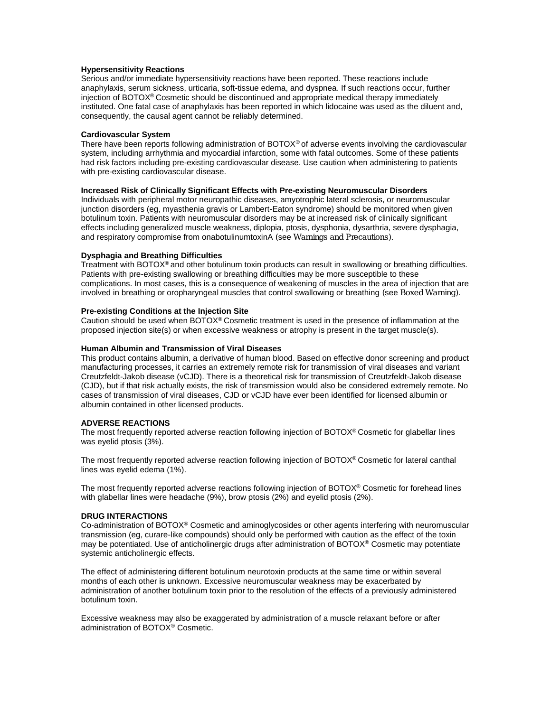### **Hypersensitivity Reactions**

Serious and/or immediate hypersensitivity reactions have been reported. These reactions include anaphylaxis, serum sickness, urticaria, soft-tissue edema, and dyspnea. If such reactions occur, further injection of BOTOX® Cosmetic should be discontinued and appropriate medical therapy immediately instituted. One fatal case of anaphylaxis has been reported in which lidocaine was used as the diluent and, consequently, the causal agent cannot be reliably determined.

#### **Cardiovascular System**

There have been reports following administration of BOTOX® of adverse events involving the cardiovascular system, including arrhythmia and myocardial infarction, some with fatal outcomes. Some of these patients had risk factors including pre-existing cardiovascular disease. Use caution when administering to patients with pre-existing cardiovascular disease.

## **Increased Risk of Clinically Significant Effects with Pre-existing Neuromuscular Disorders**

Individuals with peripheral motor neuropathic diseases, amyotrophic lateral sclerosis, or neuromuscular junction disorders (eg, myasthenia gravis or Lambert-Eaton syndrome) should be monitored when given botulinum toxin. Patients with neuromuscular disorders may be at increased risk of clinically significant effects including generalized muscle weakness, diplopia, ptosis, dysphonia, dysarthria, severe dysphagia, and respiratory compromise from onabotulinumtoxinA *(*see *Warnings and Precautions).* 

#### **Dysphagia and Breathing Difficulties**

Treatment with BOTOX® and other botulinum toxin products can result in swallowing or breathing difficulties. Patients with pre-existing swallowing or breathing difficulties may be more susceptible to these complications. In most cases, this is a consequence of weakening of muscles in the area of injection that are involved in breathing or oropharyngeal muscles that control swallowing or breathing *(*see *Boxed Warning)*.

#### **Pre-existing Conditions at the Injection Site**

Caution should be used when BOTOX® Cosmetic treatment is used in the presence of inflammation at the proposed injection site(s) or when excessive weakness or atrophy is present in the target muscle(s).

#### **Human Albumin and Transmission of Viral Diseases**

This product contains albumin, a derivative of human blood. Based on effective donor screening and product manufacturing processes, it carries an extremely remote risk for transmission of viral diseases and variant Creutzfeldt-Jakob disease (vCJD). There is a theoretical risk for transmission of Creutzfeldt-Jakob disease (CJD), but if that risk actually exists, the risk of transmission would also be considered extremely remote. No cases of transmission of viral diseases, CJD or vCJD have ever been identified for licensed albumin or albumin contained in other licensed products.

#### **ADVERSE REACTIONS**

The most frequently reported adverse reaction following injection of BOTOX® Cosmetic for glabellar lines was eyelid ptosis (3%).

The most frequently reported adverse reaction following injection of BOTOX® Cosmetic for lateral canthal lines was eyelid edema (1%).

The most frequently reported adverse reactions following injection of BOTOX® Cosmetic for forehead lines with glabellar lines were headache (9%), brow ptosis (2%) and eyelid ptosis (2%).

#### **DRUG INTERACTIONS**

Co-administration of BOTOX® Cosmetic and aminoglycosides or other agents interfering with neuromuscular transmission (eg, curare-like compounds) should only be performed with caution as the effect of the toxin may be potentiated. Use of anticholinergic drugs after administration of BOTOX® Cosmetic may potentiate systemic anticholinergic effects.

The effect of administering different botulinum neurotoxin products at the same time or within several months of each other is unknown. Excessive neuromuscular weakness may be exacerbated by administration of another botulinum toxin prior to the resolution of the effects of a previously administered botulinum toxin.

Excessive weakness may also be exaggerated by administration of a muscle relaxant before or after administration of BOTOX<sup>®</sup> Cosmetic.